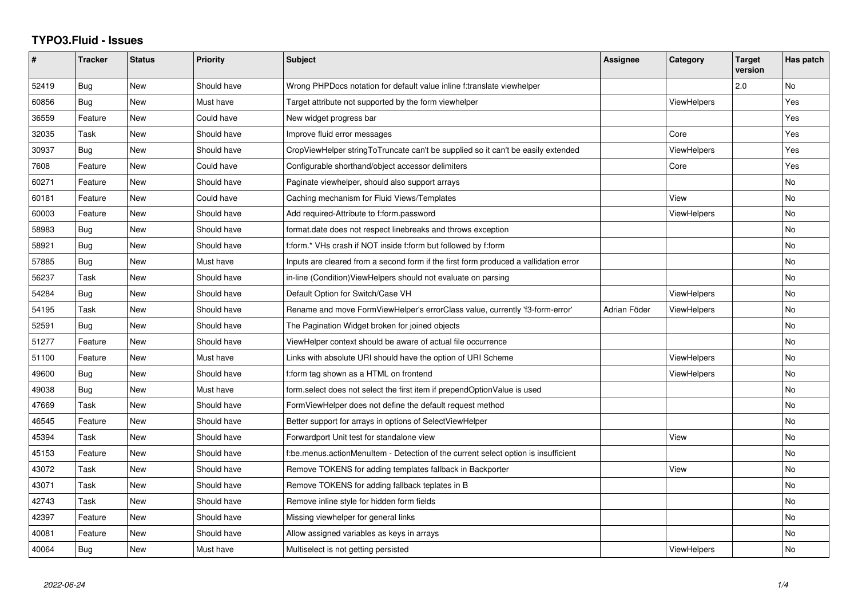## **TYPO3.Fluid - Issues**

| #     | <b>Tracker</b> | <b>Status</b> | <b>Priority</b> | <b>Subject</b>                                                                       | <b>Assignee</b> | Category           | <b>Target</b><br>version | Has patch |
|-------|----------------|---------------|-----------------|--------------------------------------------------------------------------------------|-----------------|--------------------|--------------------------|-----------|
| 52419 | Bug            | <b>New</b>    | Should have     | Wrong PHPDocs notation for default value inline f:translate viewhelper               |                 |                    | 2.0                      | <b>No</b> |
| 60856 | Bug            | New           | Must have       | Target attribute not supported by the form viewhelper                                |                 | <b>ViewHelpers</b> |                          | Yes       |
| 36559 | Feature        | <b>New</b>    | Could have      | New widget progress bar                                                              |                 |                    |                          | Yes       |
| 32035 | Task           | New           | Should have     | Improve fluid error messages                                                         |                 | Core               |                          | Yes       |
| 30937 | Bug            | New           | Should have     | CropViewHelper stringToTruncate can't be supplied so it can't be easily extended     |                 | <b>ViewHelpers</b> |                          | Yes       |
| 7608  | Feature        | <b>New</b>    | Could have      | Configurable shorthand/object accessor delimiters                                    |                 | Core               |                          | Yes       |
| 60271 | Feature        | <b>New</b>    | Should have     | Paginate viewhelper, should also support arrays                                      |                 |                    |                          | <b>No</b> |
| 60181 | Feature        | New           | Could have      | Caching mechanism for Fluid Views/Templates                                          |                 | View               |                          | No        |
| 60003 | Feature        | New           | Should have     | Add required-Attribute to f:form.password                                            |                 | ViewHelpers        |                          | No        |
| 58983 | Bug            | New           | Should have     | format.date does not respect linebreaks and throws exception                         |                 |                    |                          | No        |
| 58921 | Bug            | New           | Should have     | f:form.* VHs crash if NOT inside f:form but followed by f:form                       |                 |                    |                          | No        |
| 57885 | Bug            | <b>New</b>    | Must have       | Inputs are cleared from a second form if the first form produced a vallidation error |                 |                    |                          | No        |
| 56237 | Task           | New           | Should have     | in-line (Condition) View Helpers should not evaluate on parsing                      |                 |                    |                          | No        |
| 54284 | Bug            | <b>New</b>    | Should have     | Default Option for Switch/Case VH                                                    |                 | <b>ViewHelpers</b> |                          | No        |
| 54195 | Task           | <b>New</b>    | Should have     | Rename and move FormViewHelper's errorClass value, currently 'f3-form-error'         | Adrian Föder    | <b>ViewHelpers</b> |                          | <b>No</b> |
| 52591 | Bug            | New           | Should have     | The Pagination Widget broken for joined objects                                      |                 |                    |                          | No        |
| 51277 | Feature        | New           | Should have     | ViewHelper context should be aware of actual file occurrence                         |                 |                    |                          | <b>No</b> |
| 51100 | Feature        | New           | Must have       | Links with absolute URI should have the option of URI Scheme                         |                 | ViewHelpers        |                          | No        |
| 49600 | <b>Bug</b>     | <b>New</b>    | Should have     | f:form tag shown as a HTML on frontend                                               |                 | <b>ViewHelpers</b> |                          | No        |
| 49038 | Bug            | New           | Must have       | form select does not select the first item if prependOptionValue is used             |                 |                    |                          | <b>No</b> |
| 47669 | Task           | <b>New</b>    | Should have     | FormViewHelper does not define the default request method                            |                 |                    |                          | No        |
| 46545 | Feature        | <b>New</b>    | Should have     | Better support for arrays in options of SelectViewHelper                             |                 |                    |                          | No        |
| 45394 | Task           | New           | Should have     | Forwardport Unit test for standalone view                                            |                 | View               |                          | <b>No</b> |
| 45153 | Feature        | New           | Should have     | f:be.menus.actionMenuItem - Detection of the current select option is insufficient   |                 |                    |                          | No        |
| 43072 | Task           | New           | Should have     | Remove TOKENS for adding templates fallback in Backporter                            |                 | View               |                          | No        |
| 43071 | Task           | New           | Should have     | Remove TOKENS for adding fallback teplates in B                                      |                 |                    |                          | <b>No</b> |
| 42743 | Task           | New           | Should have     | Remove inline style for hidden form fields                                           |                 |                    |                          | <b>No</b> |
| 42397 | Feature        | New           | Should have     | Missing viewhelper for general links                                                 |                 |                    |                          | No        |
| 40081 | Feature        | New           | Should have     | Allow assigned variables as keys in arrays                                           |                 |                    |                          | No        |
| 40064 | Bug            | <b>New</b>    | Must have       | Multiselect is not getting persisted                                                 |                 | <b>ViewHelpers</b> |                          | No        |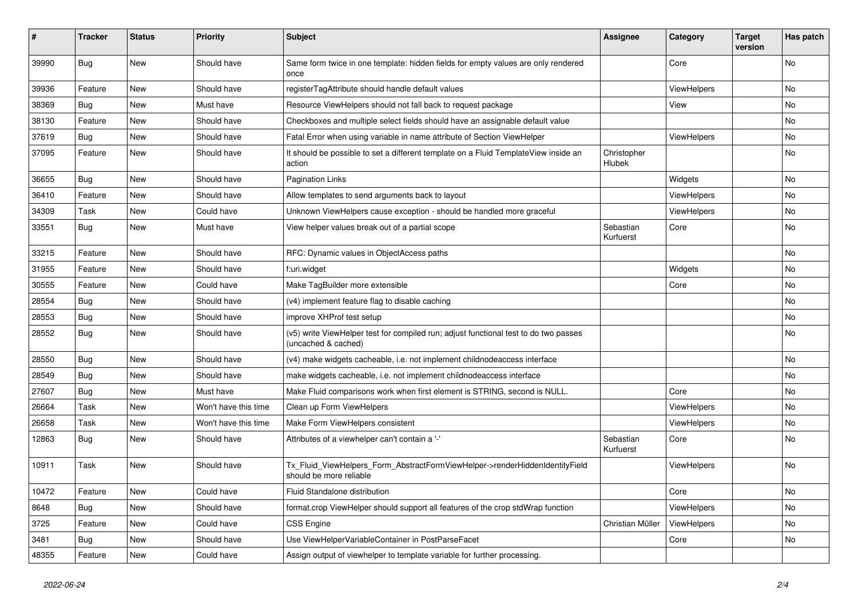| ∦     | <b>Tracker</b> | <b>Status</b> | <b>Priority</b>      | <b>Subject</b>                                                                                              | <b>Assignee</b>        | Category    | <b>Target</b><br>version | Has patch |
|-------|----------------|---------------|----------------------|-------------------------------------------------------------------------------------------------------------|------------------------|-------------|--------------------------|-----------|
| 39990 | Bug            | New           | Should have          | Same form twice in one template: hidden fields for empty values are only rendered<br>once                   |                        | Core        |                          | No        |
| 39936 | Feature        | New           | Should have          | registerTagAttribute should handle default values                                                           |                        | ViewHelpers |                          | No        |
| 38369 | Bug            | <b>New</b>    | Must have            | Resource ViewHelpers should not fall back to request package                                                |                        | View        |                          | <b>No</b> |
| 38130 | Feature        | New           | Should have          | Checkboxes and multiple select fields should have an assignable default value                               |                        |             |                          | No        |
| 37619 | Bug            | New           | Should have          | Fatal Error when using variable in name attribute of Section ViewHelper                                     |                        | ViewHelpers |                          | No.       |
| 37095 | Feature        | New           | Should have          | It should be possible to set a different template on a Fluid TemplateView inside an<br>action               | Christopher<br>Hlubek  |             |                          | No        |
| 36655 | <b>Bug</b>     | New           | Should have          | <b>Pagination Links</b>                                                                                     |                        | Widgets     |                          | No        |
| 36410 | Feature        | New           | Should have          | Allow templates to send arguments back to layout                                                            |                        | ViewHelpers |                          | No.       |
| 34309 | Task           | New           | Could have           | Unknown ViewHelpers cause exception - should be handled more graceful                                       |                        | ViewHelpers |                          | No        |
| 33551 | Bug            | New           | Must have            | View helper values break out of a partial scope                                                             | Sebastian<br>Kurfuerst | Core        |                          | No        |
| 33215 | Feature        | <b>New</b>    | Should have          | RFC: Dynamic values in ObjectAccess paths                                                                   |                        |             |                          | No        |
| 31955 | Feature        | New           | Should have          | f:uri.widget                                                                                                |                        | Widgets     |                          | No        |
| 30555 | Feature        | New           | Could have           | Make TagBuilder more extensible                                                                             |                        | Core        |                          | No.       |
| 28554 | Bug            | <b>New</b>    | Should have          | (v4) implement feature flag to disable caching                                                              |                        |             |                          | No        |
| 28553 | Bug            | New           | Should have          | improve XHProf test setup                                                                                   |                        |             |                          | No.       |
| 28552 | <b>Bug</b>     | New           | Should have          | (v5) write ViewHelper test for compiled run; adjust functional test to do two passes<br>(uncached & cached) |                        |             |                          | No        |
| 28550 | Bug            | New           | Should have          | (v4) make widgets cacheable, i.e. not implement childnodeaccess interface                                   |                        |             |                          | No        |
| 28549 | Bug            | New           | Should have          | make widgets cacheable, i.e. not implement childnodeaccess interface                                        |                        |             |                          | No.       |
| 27607 | Bug            | New           | Must have            | Make Fluid comparisons work when first element is STRING, second is NULL.                                   |                        | Core        |                          | No        |
| 26664 | Task           | New           | Won't have this time | Clean up Form ViewHelpers                                                                                   |                        | ViewHelpers |                          | No        |
| 26658 | Task           | New           | Won't have this time | Make Form ViewHelpers consistent                                                                            |                        | ViewHelpers |                          | No        |
| 12863 | <b>Bug</b>     | New           | Should have          | Attributes of a viewhelper can't contain a '-'                                                              | Sebastian<br>Kurfuerst | Core        |                          | No        |
| 10911 | Task           | New           | Should have          | Tx_Fluid_ViewHelpers_Form_AbstractFormViewHelper->renderHiddenIdentityField<br>should be more reliable      |                        | ViewHelpers |                          | No        |
| 10472 | Feature        | New           | Could have           | Fluid Standalone distribution                                                                               |                        | Core        |                          | No        |
| 8648  | Bug            | New           | Should have          | format.crop ViewHelper should support all features of the crop stdWrap function                             |                        | ViewHelpers |                          | No        |
| 3725  | Feature        | New           | Could have           | CSS Engine                                                                                                  | Christian Müller       | ViewHelpers |                          | No        |
| 3481  | <b>Bug</b>     | New           | Should have          | Use ViewHelperVariableContainer in PostParseFacet                                                           |                        | Core        |                          | No        |
| 48355 | Feature        | New           | Could have           | Assign output of viewhelper to template variable for further processing.                                    |                        |             |                          |           |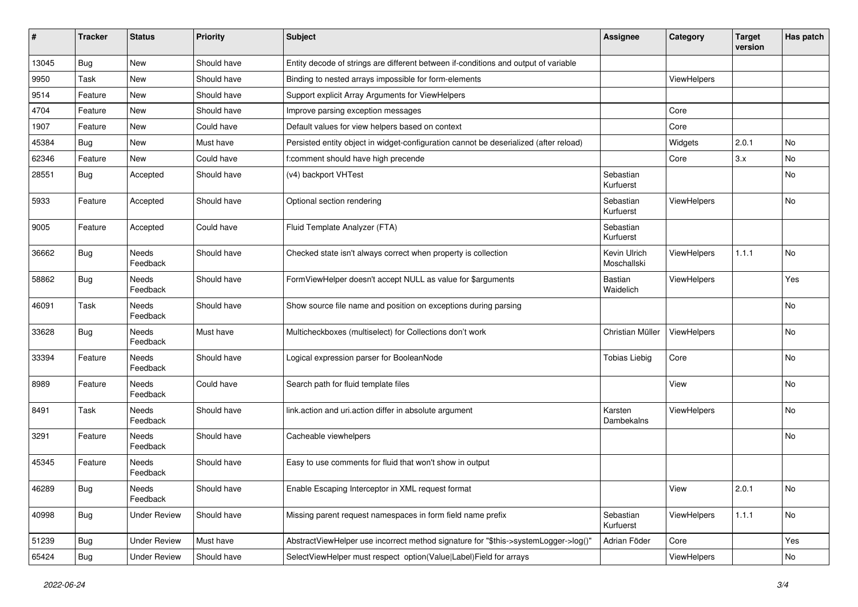| ∦     | <b>Tracker</b> | <b>Status</b>            | <b>Priority</b> | Subject                                                                               | Assignee                    | Category    | <b>Target</b><br>version | Has patch |
|-------|----------------|--------------------------|-----------------|---------------------------------------------------------------------------------------|-----------------------------|-------------|--------------------------|-----------|
| 13045 | Bug            | <b>New</b>               | Should have     | Entity decode of strings are different between if-conditions and output of variable   |                             |             |                          |           |
| 9950  | Task           | <b>New</b>               | Should have     | Binding to nested arrays impossible for form-elements                                 |                             | ViewHelpers |                          |           |
| 9514  | Feature        | New                      | Should have     | Support explicit Array Arguments for ViewHelpers                                      |                             |             |                          |           |
| 4704  | Feature        | New                      | Should have     | Improve parsing exception messages                                                    |                             | Core        |                          |           |
| 1907  | Feature        | New                      | Could have      | Default values for view helpers based on context                                      |                             | Core        |                          |           |
| 45384 | <b>Bug</b>     | <b>New</b>               | Must have       | Persisted entity object in widget-configuration cannot be deserialized (after reload) |                             | Widgets     | 2.0.1                    | No        |
| 62346 | Feature        | <b>New</b>               | Could have      | f:comment should have high precende                                                   |                             | Core        | 3.x                      | No.       |
| 28551 | <b>Bug</b>     | Accepted                 | Should have     | (v4) backport VHTest                                                                  | Sebastian<br>Kurfuerst      |             |                          | No        |
| 5933  | Feature        | Accepted                 | Should have     | Optional section rendering                                                            | Sebastian<br>Kurfuerst      | ViewHelpers |                          | No.       |
| 9005  | Feature        | Accepted                 | Could have      | Fluid Template Analyzer (FTA)                                                         | Sebastian<br>Kurfuerst      |             |                          |           |
| 36662 | <b>Bug</b>     | <b>Needs</b><br>Feedback | Should have     | Checked state isn't always correct when property is collection                        | Kevin Ulrich<br>Moschallski | ViewHelpers | 1.1.1                    | No.       |
| 58862 | Bug            | Needs<br>Feedback        | Should have     | FormViewHelper doesn't accept NULL as value for \$arguments                           | <b>Bastian</b><br>Waidelich | ViewHelpers |                          | Yes       |
| 46091 | Task           | Needs<br>Feedback        | Should have     | Show source file name and position on exceptions during parsing                       |                             |             |                          | No        |
| 33628 | <b>Bug</b>     | <b>Needs</b><br>Feedback | Must have       | Multicheckboxes (multiselect) for Collections don't work                              | Christian Müller            | ViewHelpers |                          | No        |
| 33394 | Feature        | Needs<br>Feedback        | Should have     | Logical expression parser for BooleanNode                                             | <b>Tobias Liebig</b>        | Core        |                          | No        |
| 8989  | Feature        | Needs<br>Feedback        | Could have      | Search path for fluid template files                                                  |                             | View        |                          | No        |
| 8491  | Task           | Needs<br>Feedback        | Should have     | link.action and uri.action differ in absolute argument                                | Karsten<br>Dambekalns       | ViewHelpers |                          | No        |
| 3291  | Feature        | <b>Needs</b><br>Feedback | Should have     | Cacheable viewhelpers                                                                 |                             |             |                          | No        |
| 45345 | Feature        | Needs<br>Feedback        | Should have     | Easy to use comments for fluid that won't show in output                              |                             |             |                          |           |
| 46289 | <b>Bug</b>     | Needs<br>Feedback        | Should have     | Enable Escaping Interceptor in XML request format                                     |                             | View        | 2.0.1                    | No        |
| 40998 | <b>Bug</b>     | <b>Under Review</b>      | Should have     | Missing parent request namespaces in form field name prefix                           | Sebastian<br>Kurfuerst      | ViewHelpers | 1.1.1                    | No        |
| 51239 | <b>Bug</b>     | <b>Under Review</b>      | Must have       | AbstractViewHelper use incorrect method signature for "\$this->systemLogger->log()"   | Adrian Föder                | Core        |                          | Yes       |
| 65424 | <b>Bug</b>     | <b>Under Review</b>      | Should have     | SelectViewHelper must respect option(Value Label)Field for arrays                     |                             | ViewHelpers |                          | No        |